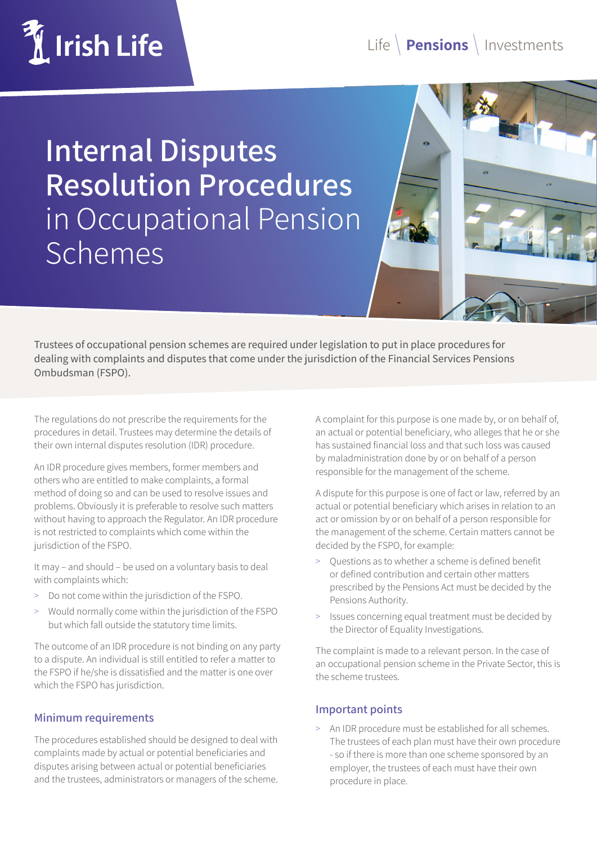# *M* Irish Life

## Life **Pensions** Investments

**Internal Disputes Resolution Procedures** in Occupational Pension **Schemes** 

Trustees of occupational pension schemes are required under legislation to put in place procedures for dealing with complaints and disputes that come under the jurisdiction of the Financial Services Pensions Ombudsman (FSPO).

The regulations do not prescribe the requirements for the procedures in detail. Trustees may determine the details of their own internal disputes resolution (IDR) procedure.

An IDR procedure gives members, former members and others who are entitled to make complaints, a formal method of doing so and can be used to resolve issues and problems. Obviously it is preferable to resolve such matters without having to approach the Regulator. An IDR procedure is not restricted to complaints which come within the jurisdiction of the FSPO.

It may – and should – be used on a voluntary basis to deal with complaints which:

- > Do not come within the jurisdiction of the FSPO.
- > Would normally come within the jurisdiction of the FSPO but which fall outside the statutory time limits.

The outcome of an IDR procedure is not binding on any party to a dispute. An individual is still entitled to refer a matter to the FSPO if he/she is dissatisfied and the matter is one over which the FSPO has jurisdiction.

#### **Minimum requirements**

The procedures established should be designed to deal with complaints made by actual or potential beneficiaries and disputes arising between actual or potential beneficiaries and the trustees, administrators or managers of the scheme.

A complaint for this purpose is one made by, or on behalf of, an actual or potential beneficiary, who alleges that he or she has sustained financial loss and that such loss was caused by maladministration done by or on behalf of a person responsible for the management of the scheme.

A dispute for this purpose is one of fact or law, referred by an actual or potential beneficiary which arises in relation to an act or omission by or on behalf of a person responsible for the management of the scheme. Certain matters cannot be decided by the FSPO, for example:

- > Questions as to whether a scheme is defined benefit or defined contribution and certain other matters prescribed by the Pensions Act must be decided by the Pensions Authority.
- > Issues concerning equal treatment must be decided by the Director of Equality Investigations.

The complaint is made to a relevant person. In the case of an occupational pension scheme in the Private Sector, this is the scheme trustees.

#### **Important points**

An IDR procedure must be established for all schemes. The trustees of each plan must have their own procedure - so if there is more than one scheme sponsored by an employer, the trustees of each must have their own procedure in place.